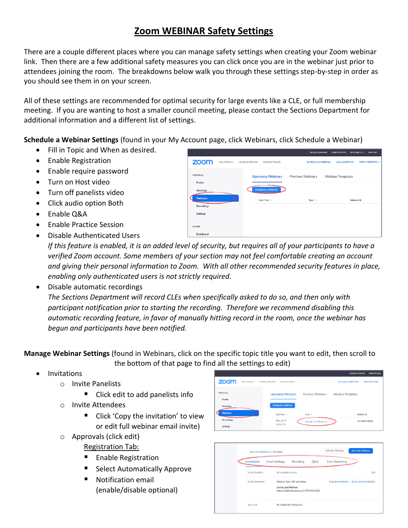## **Zoom WEBINAR Safety Settings**

There are a couple different places where you can manage safety settings when creating your Zoom webinar link. Then there are a few additional safety measures you can click once you are in the webinar just prior to attendees joining the room. The breakdowns below walk you through these settings step-by-step in order as you should see them in on your screen.

All of these settings are recommended for optimal security for large events like a CLE, or full membership meeting. If you are wanting to host a smaller council meeting, please contact the Sections Department for additional information and a different list of settings.

**Schedule a Webinar Settings** (found in your My Account page, click Webinars, click Schedule a Webinar)

- Fill in Topic and When as desired.
- Enable Registration
- Enable require password
- Turn on Host video
- Turn off panelists video
- Click audio option Both
- Enable Q&A
- Enable Practice Session
- Disable Authenticated Users

| zoom                            | SOLUTIONS + | PLANS & PRICING<br>CONTACT SALES               | <b>SCHEDULE A MEETING</b> | HOST A MEETING +<br>JOIN A MEETING |
|---------------------------------|-------------|------------------------------------------------|---------------------------|------------------------------------|
| PERSONAL<br>Profile<br>Meetings |             | <b>Upcoming Webinars</b><br>Schedule a Webinar | <b>Previous Webinars</b>  | <b>Webinar Templates</b>           |
| <b>Webinars</b><br>Recordings   |             | Start Time =                                   | Topic :                   | Webinar ID                         |
| <b>Settings</b><br><b>ADMIN</b> |             |                                                |                           |                                    |
| Dashboard                       |             |                                                |                           |                                    |

*If this feature is enabled, it is an added level of security, but requires all of your participants to have a verified Zoom account. Some members of your section may not feel comfortable creating an account and giving their personal information to Zoom. With all other recommended security features in place, enabling only authenticated users is not strictly required.*

Disable automatic recordings

*The Sections Department will record CLEs when specifically asked to do so, and then only with participant notification prior to starting the recording. Therefore we recommend disabling this automatic recording feature, in favor of manually hitting record in the room, once the webinar has begun and participants have been notified.*

**Manage Webinar Settings** (found in Webinars, click on the specific topic title you want to edit, then scroll to the bottom of that page to find all the settings to edit)

- Invitations
	- o Invite Panelists
		- Click edit to add panelists info
	- o Invite Attendees
		- Click 'Copy the invitation' to view or edit full webinar email invite)
	- o Approvals (click edit)
		- Registration Tab:
		- **Enable Registration**
		- **Select Automatically Approve**
		- **Notification email** (enable/disable optional)

|                     |             |                                  |                          | <b>REQUEST A DEMO</b>     | 1.888.799.0125        |
|---------------------|-------------|----------------------------------|--------------------------|---------------------------|-----------------------|
| zoom                | SOLUTIONS - | PLANS & PRICING<br>CONTACT SALES |                          | <b>SCHEDULE A MEETING</b> | <b>JOIN A MEETING</b> |
| PERSONAL<br>Profile |             | <b>Upcoming Webinars</b>         | <b>Previous Webinars</b> | <b>Webinar Templates</b>  |                       |
| Meetings            |             | Schedule a Webinar               |                          |                           |                       |
| <b>Webinars</b>     |             | Start Time :                     | Topic :                  |                           | Webinar ID            |
| <b>Recordings</b>   |             | Thu, Jun 4                       | Sample CLE Webinar       |                           | 123 4567 8910         |
| Settings            |             | 12:00 PM                         |                          |                           |                       |

|                         | Save this Webinar as a Template                                                              |                       |                          | <b>Start this Webinar</b><br>Edit this Webinar |                |      |
|-------------------------|----------------------------------------------------------------------------------------------|-----------------------|--------------------------|------------------------------------------------|----------------|------|
|                         | Invitations                                                                                  | <b>Email Settings</b> | Branding                 | O&A                                            | Live Streaming |      |
|                         | <b>Invite Panelists</b>                                                                      | No panelists invited  |                          |                                                |                | Edit |
| <b>Invite Attendees</b> | Webinar Size: 500 attendees<br>Link to join Webinar<br>https://us02web.zoom.us/j/87419341230 |                       | Copy the invitation      | Email me the invitation                        |                |      |
|                         | Approval                                                                                     |                       | No Registration Required |                                                |                |      |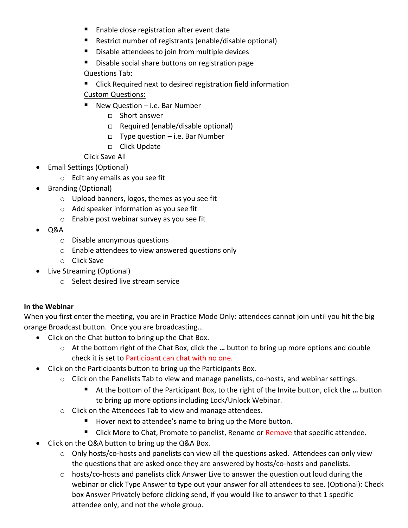- **Enable close registration after event date**
- Restrict number of registrants (enable/disable optional)
- **Disable attendees to join from multiple devices**
- Disable social share buttons on registration page

## Questions Tab:

- Click Required next to desired registration field information Custom Questions:
- New Question i.e. Bar Number
	- □ Short answer
	- Required (enable/disable optional)
	- Type question i.e. Bar Number
	- □ Click Update
- Click Save All
- Email Settings (Optional)
	- o Edit any emails as you see fit
- Branding (Optional)
	- o Upload banners, logos, themes as you see fit
	- o Add speaker information as you see fit
	- o Enable post webinar survey as you see fit
- $\bullet$  Q&A
	- o Disable anonymous questions
	- o Enable attendees to view answered questions only
	- o Click Save
- Live Streaming (Optional)
	- o Select desired live stream service

## **In the Webinar**

When you first enter the meeting, you are in Practice Mode Only: attendees cannot join until you hit the big orange Broadcast button. Once you are broadcasting…

- Click on the Chat button to bring up the Chat Box.
	- o At the bottom right of the Chat Box, click the **…** button to bring up more options and double check it is set to Participant can chat with no one.
- Click on the Participants button to bring up the Participants Box.
	- o Click on the Panelists Tab to view and manage panelists, co-hosts, and webinar settings.
		- At the bottom of the Participant Box, to the right of the Invite button, click the ... button to bring up more options including Lock/Unlock Webinar.
	- o Click on the Attendees Tab to view and manage attendees.
		- Hover next to attendee's name to bring up the More button.
		- Click More to Chat, Promote to panelist, Rename or Remove that specific attendee.
- Click on the Q&A button to bring up the Q&A Box.
	- o Only hosts/co-hosts and panelists can view all the questions asked. Attendees can only view the questions that are asked once they are answered by hosts/co-hosts and panelists.
	- o hosts/co-hosts and panelists click Answer Live to answer the question out loud during the webinar or click Type Answer to type out your answer for all attendees to see. (Optional): Check box Answer Privately before clicking send, if you would like to answer to that 1 specific attendee only, and not the whole group.